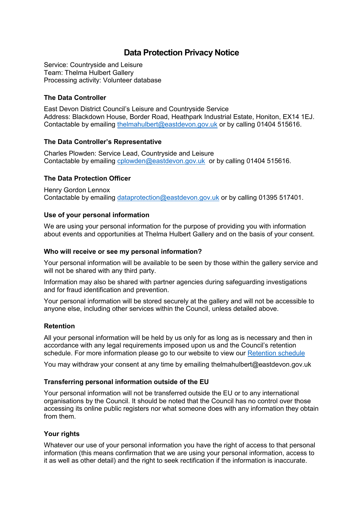# **Data Protection Privacy Notice**

Service: Countryside and Leisure Team: Thelma Hulbert Gallery Processing activity: Volunteer database

## **The Data Controller**

East Devon District Council's Leisure and Countryside Service Address: Blackdown House, Border Road, Heathpark Industrial Estate, Honiton, EX14 1EJ. Contactable by emailing [thelmahulbert@eastdevon.gov.uk](mailto:thelmahulbert@eastdevon.gov.uk) or by calling 01404 515616.

### **The Data Controller's Representative**

Charles Plowden: Service Lead, Countryside and Leisure Contactable by emailing [cplowden@eastdevon.gov.uk](mailto:cplowden@eastdevon.gov.uk) or by calling 01404 515616.

# **The Data Protection Officer**

Henry Gordon Lennox Contactable by emailing [dataprotection@eastdevon.gov.uk](mailto:dataprotection@eastdevon.gov.uk) or by calling 01395 517401.

### **Use of your personal information**

We are using your personal information for the purpose of providing you with information about events and opportunities at Thelma Hulbert Gallery and on the basis of your consent.

### **Who will receive or see my personal information?**

Your personal information will be available to be seen by those within the gallery service and will not be shared with any third party.

Information may also be shared with partner agencies during safeguarding investigations and for fraud identification and prevention.

Your personal information will be stored securely at the gallery and will not be accessible to anyone else, including other services within the Council, unless detailed above.

### **Retention**

All your personal information will be held by us only for as long as is necessary and then in accordance with any legal requirements imposed upon us and the Council's retention schedule. For more information please go to our website to view our [Retention schedule](http://eastdevon.gov.uk/access-to-information/data-protection/document-retention-schedules/)

You may withdraw your consent at any time by emailing [thelmahulbert@eastdevon.gov.uk](mailto:thelmahulbert@eastdevon.gov.uk)

### **Transferring personal information outside of the EU**

Your personal information will not be transferred outside the EU or to any international organisations by the Council. It should be noted that the Council has no control over those accessing its online public registers nor what someone does with any information they obtain from them.

### **Your rights**

Whatever our use of your personal information you have the right of access to that personal information (this means confirmation that we are using your personal information, access to it as well as other detail) and the right to seek rectification if the information is inaccurate.